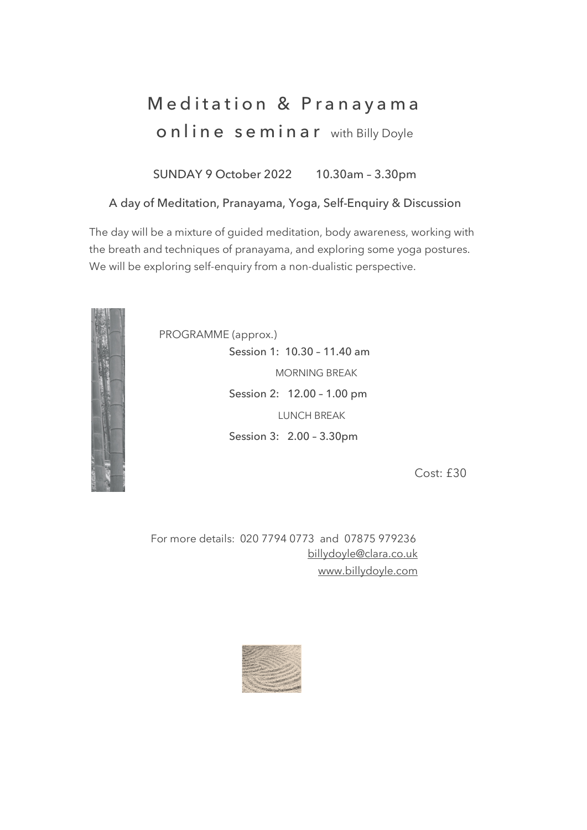## Meditation & Pranayam a online seminar with Billy Doyle

SUNDAY 9 October 2022 10.30am – 3.30pm

## A day of Meditation, Pranayama, Yoga, Self-Enquiry & Discussion

The day will be a mixture of guided meditation, body awareness, working with the breath and techniques of pranayama, and exploring some yoga postures. We will be exploring self-enquiry from a non-dualistic perspective.



PROGRAMME (approx.) Session 1: 10.30 – 11.40 am MORNING BREAK Session 2: 12.00 – 1.00 pm LUNCH BREAK Session 3: 2.00 – 3.30pm

Cost: £30

 For more details: 020 7794 0773 and 07875 979236 billydoyle@clara.co.uk www.billydoyle.com